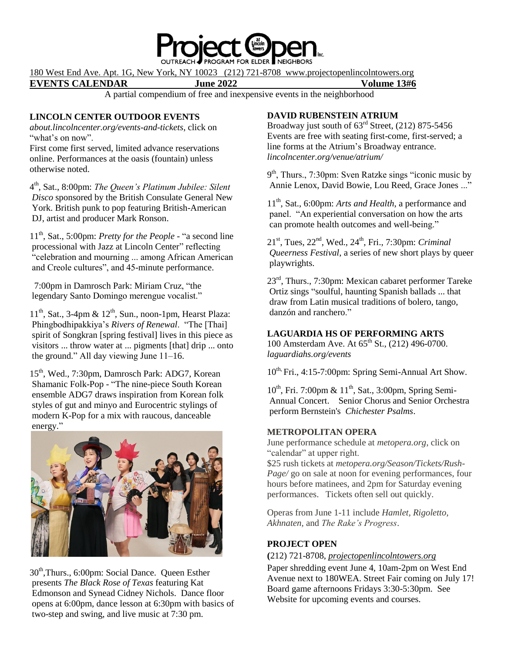

180 West End Ave. Apt. 1G, New York, NY 10023 (212) 721-8708 www.projectopenlincolntowers.org

**EVENTS CALENDAR June 2022 Volume 13#6**

A partial compendium of free and inexpensive events in the neighborhood

# **LINCOLN CENTER OUTDOOR EVENTS**

*about.lincolncenter.org/events-and-tickets*, click on "what's on now".

First come first served, limited advance reservations online. Performances at the oasis (fountain) unless otherwise noted.

4 th, Sat., 8:00pm: *The Queen's Platinum Jubilee: Silent Disco* sponsored by the British Consulate General New York. British punk to pop featuring British-American DJ, artist and producer Mark Ronson.

11th, Sat., 5:00pm: *Pretty for the People* - "a second line processional with Jazz at Lincoln Center" reflecting "celebration and mourning ... among African American and Creole cultures", and 45-minute performance.

 7:00pm in Damrosch Park: Miriam Cruz, "the legendary Santo Domingo merengue vocalist."

 $11<sup>th</sup>$ , Sat., 3-4pm &  $12<sup>th</sup>$ , Sun., noon-1pm, Hearst Plaza: Phingbodhipakkiya's *Rivers of Renewal*. "The [Thai] spirit of Songkran [spring festival] lives in this piece as visitors ... throw water at ... pigments [that] drip ... onto the ground." All day viewing June 11–16.

15<sup>th</sup>, Wed., 7:30pm, Damrosch Park: ADG7, Korean Shamanic Folk-Pop - "The nine-piece South Korean ensemble ADG7 draws inspiration from Korean folk styles of gut and minyo and Eurocentric stylings of modern K-Pop for a mix with raucous, danceable energy."



30<sup>th</sup>,Thurs., 6:00pm: Social Dance. Queen Esther presents *The Black Rose of Texas* featuring Kat Edmonson and Synead Cidney Nichols. Dance floor opens at 6:00pm, dance lesson at 6:30pm with basics of two-step and swing, and live music at 7:30 pm.

# **DAVID RUBENSTEIN ATRIUM**

Broadway just south of  $63<sup>rd</sup>$  Street, (212) 875-5456 Events are free with seating first-come, first-served; a line forms at the Atrium's Broadway entrance. *lincolncenter.org/venue/atrium/*

9<sup>th</sup>, Thurs., 7:30pm: Sven Ratzke sings "iconic music by Annie Lenox, David Bowie, Lou Reed, Grace Jones ..."

11th, Sat., 6:00pm: *Arts and Health*, a performance and panel. "An experiential conversation on how the arts can promote health outcomes and well-being."

21st, Tues, 22nd, Wed., 24th, Fri., 7:30pm: *Criminal Queerness Festival*, a series of new short plays by queer playwrights.

23rd, Thurs., 7:30pm: Mexican cabaret performer Tareke Ortiz sings "soulful, haunting Spanish ballads ... that draw from Latin musical traditions of bolero, tango, danzón and ranchero."

# **LAGUARDIA HS OF PERFORMING ARTS**

100 Amsterdam Ave. At  $65^{\text{th}}$  St., (212) 496-0700. *laguardiahs.org/events*

 $10^{th}$  Fri., 4:15-7:00pm: Spring Semi-Annual Art Show.

 $10^{th}$ , Fri. 7:00pm &  $11^{th}$ , Sat., 3:00pm, Spring Semi-Annual Concert. Senior Chorus and Senior Orchestra perform Bernstein's *Chichester Psalms*.

# **METROPOLITAN OPERA**

June performance schedule at *metopera.org*, click on "calendar" at upper right.

\$25 rush tickets at *metopera.org/Season/Tickets/Rush-Page/* go on sale at noon for evening performances, four hours before matinees, and 2pm for Saturday evening performances. Tickets often sell out quickly.

Operas from June 1-11 include *Hamlet, Rigoletto, Akhnaten,* and *The Rake's Progress*.

# **PROJECT OPEN**

### **(**212) 721-8708, *projectopenlincolntowers.org*

Paper shredding event June 4, 10am-2pm on West End Avenue next to 180WEA. Street Fair coming on July 17! Board game afternoons Fridays 3:30-5:30pm. See Website for upcoming events and courses.